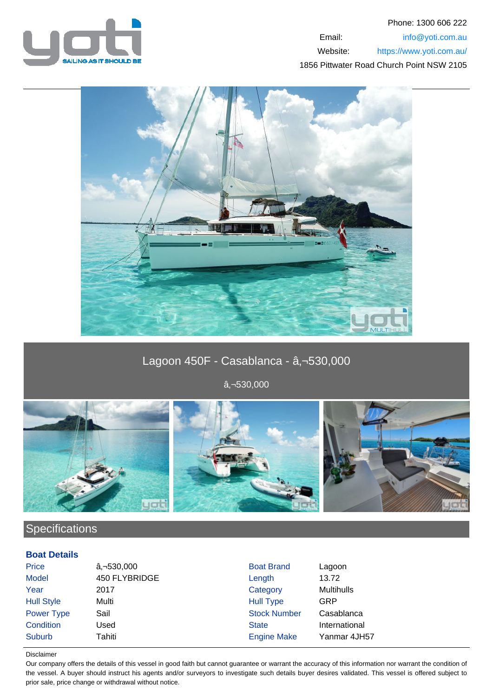



# Lagoon 450F - Casablanca - â, - 530,000

 $a, -530,000$ 



## **Specifications**

## **Boat Details**

| <b>Price</b>      | $a, -530,000$ | <b>Boat Brand</b>   | Lagoon            |
|-------------------|---------------|---------------------|-------------------|
| <b>Model</b>      | 450 FLYBRIDGE | Length              | 13.72             |
| Year              | 2017          | Category            | <b>Multihulls</b> |
| <b>Hull Style</b> | Multi         | <b>Hull Type</b>    | GRP               |
| Power Type        | Sail          | <b>Stock Number</b> | Casablanca        |
| Condition         | Used          | <b>State</b>        | International     |
| <b>Suburb</b>     | Tahiti        | <b>Engine Make</b>  | Yanmar 4JH57      |
|                   |               |                     |                   |

#### Disclaimer

Our company offers the details of this vessel in good faith but cannot guarantee or warrant the accuracy of this information nor warrant the condition of the vessel. A buyer should instruct his agents and/or surveyors to investigate such details buyer desires validated. This vessel is offered subject to prior sale, price change or withdrawal without notice.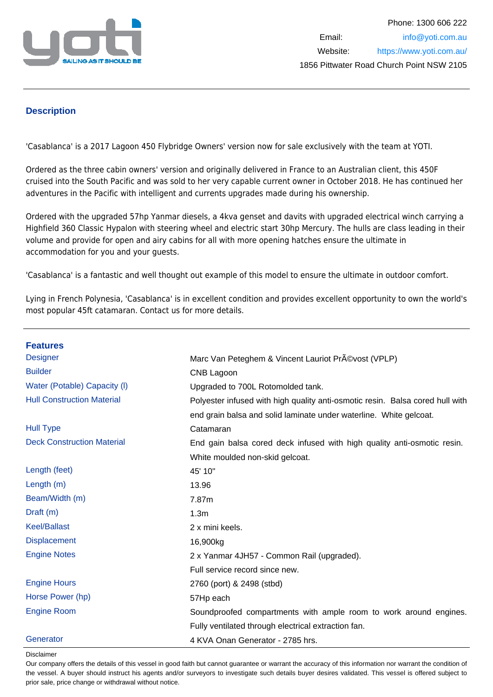

## **Description**

'Casablanca' is a 2017 Lagoon 450 Flybridge Owners' version now for sale exclusively with the team at YOTI.

Ordered as the three cabin owners' version and originally delivered in France to an Australian client, this 450F cruised into the South Pacific and was sold to her very capable current owner in October 2018. He has continued her adventures in the Pacific with intelligent and currents upgrades made during his ownership.

Ordered with the upgraded 57hp Yanmar diesels, a 4kva genset and davits with upgraded electrical winch carrying a Highfield 360 Classic Hypalon with steering wheel and electric start 30hp Mercury. The hulls are class leading in their volume and provide for open and airy cabins for all with more opening hatches ensure the ultimate in accommodation for you and your guests.

'Casablanca' is a fantastic and well thought out example of this model to ensure the ultimate in outdoor comfort.

Lying in French Polynesia, 'Casablanca' is in excellent condition and provides excellent opportunity to own the world's most popular 45ft catamaran. Contact us for more details.

| <b>Features</b>                   |                                                                               |
|-----------------------------------|-------------------------------------------------------------------------------|
| <b>Designer</b>                   | Marc Van Peteghem & Vincent Lauriot Pr©vost (VPLP)                            |
| <b>Builder</b>                    | CNB Lagoon                                                                    |
| Water (Potable) Capacity (I)      | Upgraded to 700L Rotomolded tank.                                             |
| <b>Hull Construction Material</b> | Polyester infused with high quality anti-osmotic resin. Balsa cored hull with |
|                                   | end grain balsa and solid laminate under waterline. White gelcoat.            |
| <b>Hull Type</b>                  | Catamaran                                                                     |
| <b>Deck Construction Material</b> | End gain balsa cored deck infused with high quality anti-osmotic resin.       |
|                                   | White moulded non-skid gelcoat.                                               |
| Length (feet)                     | 45' 10"                                                                       |
| Length $(m)$                      | 13.96                                                                         |
| Beam/Width (m)                    | 7.87m                                                                         |
| Draft (m)                         | 1.3 <sub>m</sub>                                                              |
| <b>Keel/Ballast</b>               | 2 x mini keels.                                                               |
| <b>Displacement</b>               | 16,900kg                                                                      |
| <b>Engine Notes</b>               | 2 x Yanmar 4JH57 - Common Rail (upgraded).                                    |
|                                   | Full service record since new.                                                |
| <b>Engine Hours</b>               | 2760 (port) & 2498 (stbd)                                                     |
| Horse Power (hp)                  | 57Hp each                                                                     |
| <b>Engine Room</b>                | Soundproofed compartments with ample room to work around engines.             |
|                                   | Fully ventilated through electrical extraction fan.                           |
| Generator                         | 4 KVA Onan Generator - 2785 hrs.                                              |

#### Disclaimer

Our company offers the details of this vessel in good faith but cannot guarantee or warrant the accuracy of this information nor warrant the condition of the vessel. A buyer should instruct his agents and/or surveyors to investigate such details buyer desires validated. This vessel is offered subject to prior sale, price change or withdrawal without notice.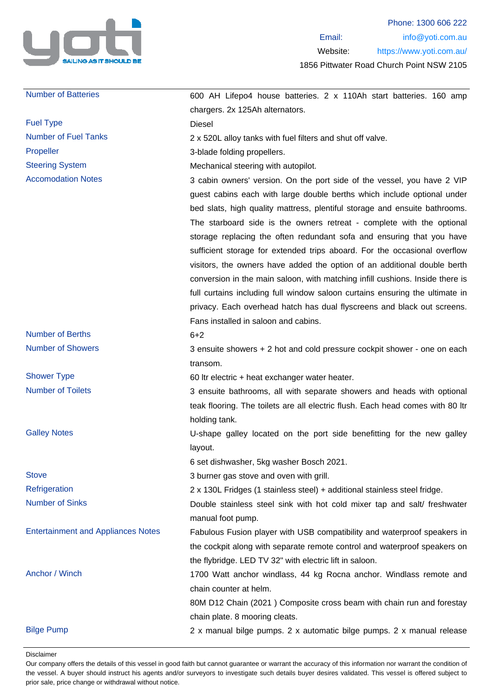

| <b>Number of Batteries</b>                | 600 AH Lifepo4 house batteries. 2 x 110Ah start batteries. 160 amp             |
|-------------------------------------------|--------------------------------------------------------------------------------|
|                                           | chargers. 2x 125Ah alternators.                                                |
| <b>Fuel Type</b>                          | Diesel                                                                         |
| <b>Number of Fuel Tanks</b>               | 2 x 520L alloy tanks with fuel filters and shut off valve.                     |
| Propeller                                 | 3-blade folding propellers.                                                    |
| <b>Steering System</b>                    | Mechanical steering with autopilot.                                            |
| <b>Accomodation Notes</b>                 | 3 cabin owners' version. On the port side of the vessel, you have 2 VIP        |
|                                           | guest cabins each with large double berths which include optional under        |
|                                           | bed slats, high quality mattress, plentiful storage and ensuite bathrooms.     |
|                                           | The starboard side is the owners retreat - complete with the optional          |
|                                           | storage replacing the often redundant sofa and ensuring that you have          |
|                                           | sufficient storage for extended trips aboard. For the occasional overflow      |
|                                           | visitors, the owners have added the option of an additional double berth       |
|                                           | conversion in the main saloon, with matching infill cushions. Inside there is  |
|                                           | full curtains including full window saloon curtains ensuring the ultimate in   |
|                                           | privacy. Each overhead hatch has dual flyscreens and black out screens.        |
|                                           | Fans installed in saloon and cabins.                                           |
| <b>Number of Berths</b>                   | $6 + 2$                                                                        |
| <b>Number of Showers</b>                  | 3 ensuite showers + 2 hot and cold pressure cockpit shower - one on each       |
|                                           | transom.                                                                       |
| <b>Shower Type</b>                        | 60 Itr electric + heat exchanger water heater.                                 |
| <b>Number of Toilets</b>                  | 3 ensuite bathrooms, all with separate showers and heads with optional         |
|                                           | teak flooring. The toilets are all electric flush. Each head comes with 80 ltr |
|                                           | holding tank.                                                                  |
| <b>Galley Notes</b>                       | U-shape galley located on the port side benefitting for the new galley         |
|                                           | layout.                                                                        |
|                                           | 6 set dishwasher, 5kg washer Bosch 2021.                                       |
| <b>Stove</b>                              | 3 burner gas stove and oven with grill.                                        |
| Refrigeration                             | 2 x 130L Fridges (1 stainless steel) + additional stainless steel fridge.      |
| <b>Number of Sinks</b>                    | Double stainless steel sink with hot cold mixer tap and salt/ freshwater       |
|                                           | manual foot pump.                                                              |
| <b>Entertainment and Appliances Notes</b> | Fabulous Fusion player with USB compatibility and waterproof speakers in       |
|                                           | the cockpit along with separate remote control and waterproof speakers on      |
|                                           | the flybridge. LED TV 32" with electric lift in saloon.                        |
| Anchor / Winch                            | 1700 Watt anchor windlass, 44 kg Rocna anchor. Windlass remote and             |
|                                           | chain counter at helm.                                                         |
|                                           | 80M D12 Chain (2021) Composite cross beam with chain run and forestay          |
|                                           | chain plate. 8 mooring cleats.                                                 |
| <b>Bilge Pump</b>                         | 2 x manual bilge pumps. 2 x automatic bilge pumps. 2 x manual release          |
|                                           |                                                                                |

Disclaimer

Our company offers the details of this vessel in good faith but cannot guarantee or warrant the accuracy of this information nor warrant the condition of the vessel. A buyer should instruct his agents and/or surveyors to investigate such details buyer desires validated. This vessel is offered subject to prior sale, price change or withdrawal without notice.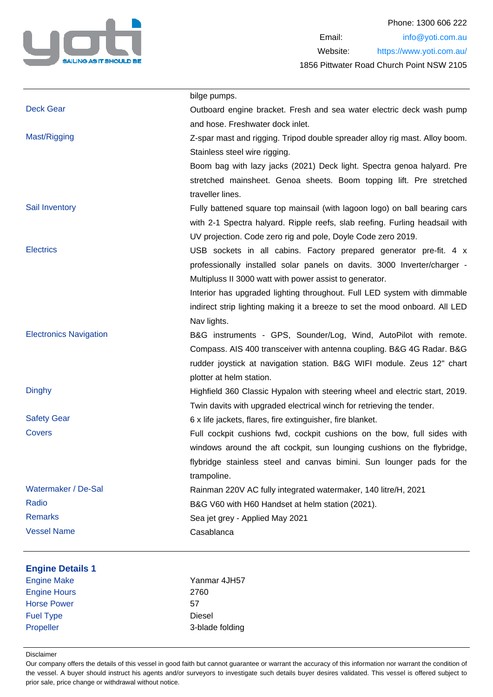

|                               | bilge pumps.                                                                |
|-------------------------------|-----------------------------------------------------------------------------|
| <b>Deck Gear</b>              | Outboard engine bracket. Fresh and sea water electric deck wash pump        |
|                               | and hose. Freshwater dock inlet.                                            |
| Mast/Rigging                  | Z-spar mast and rigging. Tripod double spreader alloy rig mast. Alloy boom. |
|                               | Stainless steel wire rigging.                                               |
|                               | Boom bag with lazy jacks (2021) Deck light. Spectra genoa halyard. Pre      |
|                               | stretched mainsheet. Genoa sheets. Boom topping lift. Pre stretched         |
|                               | traveller lines.                                                            |
| Sail Inventory                | Fully battened square top mainsail (with lagoon logo) on ball bearing cars  |
|                               | with 2-1 Spectra halyard. Ripple reefs, slab reefing. Furling headsail with |
|                               | UV projection. Code zero rig and pole, Doyle Code zero 2019.                |
| <b>Electrics</b>              | USB sockets in all cabins. Factory prepared generator pre-fit. 4 x          |
|                               | professionally installed solar panels on davits. 3000 Inverter/charger -    |
|                               | Multipluss II 3000 watt with power assist to generator.                     |
|                               | Interior has upgraded lighting throughout. Full LED system with dimmable    |
|                               | indirect strip lighting making it a breeze to set the mood onboard. All LED |
|                               | Nav lights.                                                                 |
| <b>Electronics Navigation</b> | B&G instruments - GPS, Sounder/Log, Wind, AutoPilot with remote.            |
|                               | Compass. AIS 400 transceiver with antenna coupling. B&G 4G Radar. B&G       |
|                               | rudder joystick at navigation station. B&G WIFI module. Zeus 12" chart      |
|                               | plotter at helm station.                                                    |
| <b>Dinghy</b>                 | Highfield 360 Classic Hypalon with steering wheel and electric start, 2019. |
|                               | Twin davits with upgraded electrical winch for retrieving the tender.       |
| <b>Safety Gear</b>            | 6 x life jackets, flares, fire extinguisher, fire blanket.                  |
| Covers                        | Full cockpit cushions fwd, cockpit cushions on the bow, full sides with     |
|                               | windows around the aft cockpit, sun lounging cushions on the flybridge,     |
|                               | flybridge stainless steel and canvas bimini. Sun lounger pads for the       |
|                               | trampoline.                                                                 |
| Watermaker / De-Sal           | Rainman 220V AC fully integrated watermaker, 140 litre/H, 2021              |
| Radio                         | B&G V60 with H60 Handset at helm station (2021).                            |
| <b>Remarks</b>                | Sea jet grey - Applied May 2021                                             |
| <b>Vessel Name</b>            | Casablanca                                                                  |
|                               |                                                                             |
| <b>Engine Details 1</b>       |                                                                             |
| <b>Engine Make</b>            | Yanmar 4JH57                                                                |
| <b>Engine Hours</b>           | 2760                                                                        |
| <b>Horse Power</b>            | 57                                                                          |
| <b>Fuel Type</b><br>Propeller | <b>Diesel</b><br>3-blade folding                                            |
|                               |                                                                             |

Disclaimer

Our company offers the details of this vessel in good faith but cannot guarantee or warrant the accuracy of this information nor warrant the condition of the vessel. A buyer should instruct his agents and/or surveyors to investigate such details buyer desires validated. This vessel is offered subject to prior sale, price change or withdrawal without notice.